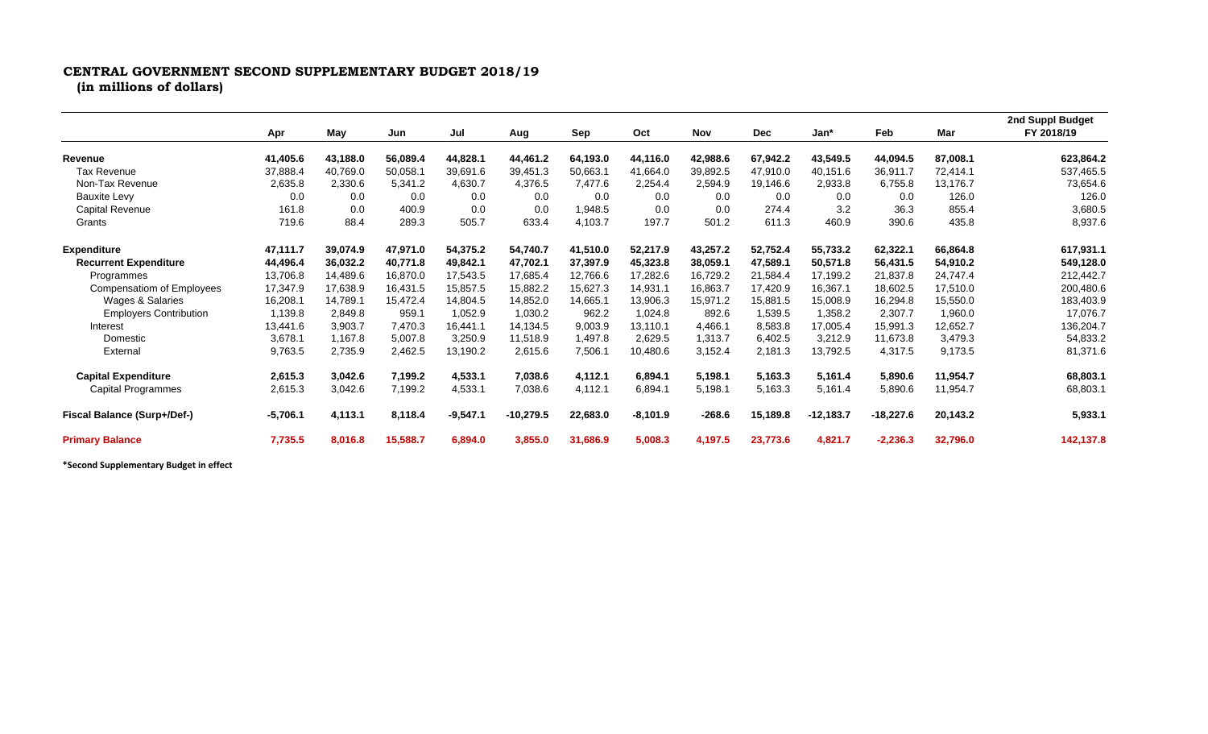## **CENTRAL GOVERNMENT SECOND SUPPLEMENTARY BUDGET 2018/19**

**(in millions of dollars)**

|                                    | Apr        |          |          | Jul        | Aug         | Sep      | Oct        | <b>Nov</b> | <b>Dec</b> | Jan*        | Feb         | Mar      | 2nd Suppl Budget<br>FY 2018/19 |
|------------------------------------|------------|----------|----------|------------|-------------|----------|------------|------------|------------|-------------|-------------|----------|--------------------------------|
|                                    |            | May      | Jun      |            |             |          |            |            |            |             |             |          |                                |
| Revenue                            | 41,405.6   | 43,188.0 | 56,089.4 | 44,828.1   | 44,461.2    | 64,193.0 | 44,116.0   | 42,988.6   | 67,942.2   | 43,549.5    | 44,094.5    | 87,008.1 | 623,864.2                      |
| <b>Tax Revenue</b>                 | 37,888.4   | 40,769.0 | 50,058.1 | 39,691.6   | 39,451.3    | 50,663.1 | 41,664.0   | 39,892.5   | 47.910.0   | 40,151.6    | 36,911.7    | 72,414.1 | 537,465.5                      |
| Non-Tax Revenue                    | 2,635.8    | 2,330.6  | 5,341.2  | 4,630.7    | 4,376.5     | 7.477.6  | 2,254.4    | 2,594.9    | 19,146.6   | 2,933.8     | 6,755.8     | 13,176.7 | 73,654.6                       |
| <b>Bauxite Levy</b>                | 0.0        | 0.0      | 0.0      | 0.0        | 0.0         | 0.0      | 0.0        | 0.0        | 0.0        | 0.0         | 0.0         | 126.0    | 126.0                          |
| Capital Revenue                    | 161.8      | 0.0      | 400.9    | 0.0        | 0.0         | 1.948.5  | 0.0        | 0.0        | 274.4      | 3.2         | 36.3        | 855.4    | 3,680.5                        |
| Grants                             | 719.6      | 88.4     | 289.3    | 505.7      | 633.4       | 4,103.7  | 197.7      | 501.2      | 611.3      | 460.9       | 390.6       | 435.8    | 8,937.6                        |
| <b>Expenditure</b>                 | 47,111.7   | 39,074.9 | 47,971.0 | 54,375.2   | 54,740.7    | 41,510.0 | 52,217.9   | 43,257.2   | 52,752.4   | 55,733.2    | 62,322.1    | 66,864.8 | 617,931.1                      |
| <b>Recurrent Expenditure</b>       | 44,496.4   | 36,032.2 | 40,771.8 | 49,842.1   | 47,702.1    | 37,397.9 | 45,323.8   | 38,059.1   | 47,589.1   | 50,571.8    | 56,431.5    | 54,910.2 | 549,128.0                      |
| Programmes                         | 13,706.8   | 14.489.6 | 16.870.0 | 17,543.5   | 17,685.4    | 12,766.6 | 17,282.6   | 16,729.2   | 21,584.4   | 17,199.2    | 21,837.8    | 24,747.4 | 212,442.7                      |
| <b>Compensatiom of Employees</b>   | 17,347.9   | 17,638.9 | 16,431.5 | 15,857.5   | 15,882.2    | 15,627.3 | 14,931.1   | 16,863.7   | 17,420.9   | 16,367.1    | 18,602.5    | 17,510.0 | 200,480.6                      |
| Wages & Salaries                   | 16,208.1   | 14,789.1 | 15,472.4 | 14,804.5   | 14,852.0    | 14,665.1 | 13,906.3   | 15.971.2   | 15,881.5   | 15,008.9    | 16,294.8    | 15,550.0 | 183,403.9                      |
| <b>Employers Contribution</b>      | 1,139.8    | 2,849.8  | 959.1    | 1,052.9    | 1,030.2     | 962.2    | 1,024.8    | 892.6      | 1,539.5    | 1,358.2     | 2,307.7     | 1,960.0  | 17,076.7                       |
| Interest                           | 13,441.6   | 3,903.7  | 7,470.3  | 16.441.1   | 14,134.5    | 9,003.9  | 13,110.1   | 4,466.1    | 8,583.8    | 17,005.4    | 15,991.3    | 12,652.7 | 136,204.7                      |
| Domestic                           | 3,678.1    | 1,167.8  | 5,007.8  | 3,250.9    | 11,518.9    | 1.497.8  | 2.629.5    | 1.313.7    | 6,402.5    | 3,212.9     | 11,673.8    | 3,479.3  | 54,833.2                       |
| External                           | 9,763.5    | 2,735.9  | 2,462.5  | 13,190.2   | 2,615.6     | 7,506.1  | 10,480.6   | 3,152.4    | 2,181.3    | 13,792.5    | 4,317.5     | 9,173.5  | 81,371.6                       |
| <b>Capital Expenditure</b>         | 2,615.3    | 3,042.6  | 7,199.2  | 4,533.1    | 7,038.6     | 4.112.1  | 6,894.1    | 5,198.1    | 5,163.3    | 5,161.4     | 5,890.6     | 11,954.7 | 68,803.1                       |
| <b>Capital Programmes</b>          | 2,615.3    | 3,042.6  | 7,199.2  | 4,533.1    | 7,038.6     | 4,112.1  | 6,894.1    | 5,198.1    | 5,163.3    | 5,161.4     | 5,890.6     | 11,954.7 | 68,803.1                       |
| <b>Fiscal Balance (Surp+/Def-)</b> | $-5,706.1$ | 4,113.1  | 8,118.4  | $-9,547.1$ | $-10,279.5$ | 22,683.0 | $-8,101.9$ | $-268.6$   | 15,189.8   | $-12,183.7$ | $-18,227.6$ | 20,143.2 | 5,933.1                        |
| <b>Primary Balance</b>             | 7,735.5    | 8,016.8  | 15,588.7 | 6,894.0    | 3,855.0     | 31,686.9 | 5,008.3    | 4,197.5    | 23,773.6   | 4,821.7     | $-2,236.3$  | 32,796.0 | 142,137.8                      |

**\*Second Supplementary Budget in effect**